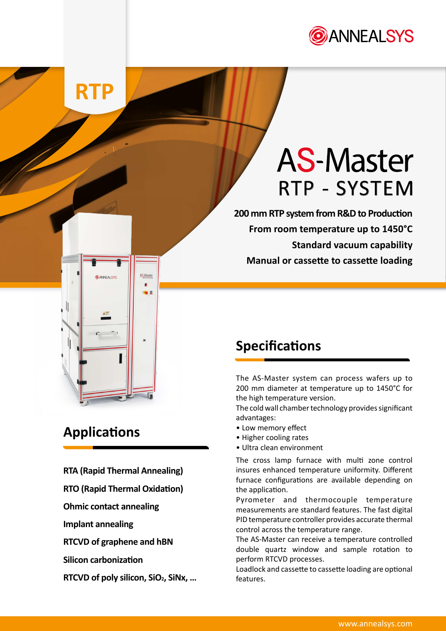

## **RTP**

# **AS-Master** RTP - SYSTEM

**200 mm RTP system from R&D to Production From room temperature up to 1450°C Standard vacuum capability Manual or cassette to cassette loading**

## **Applications**

**CANNEAL SYS** 

**RTA (Rapid Thermal Annealing)**

AS-Master

- **RTO (Rapid Thermal Oxidation)**
- **Ohmic contact annealing**
- **Implant annealing**
- **RTCVD of graphene and hBN**
- **Silicon carbonization**
- **RTCVD of poly silicon, SiO2, SiNx, …**

### **Specifications**

The AS-Master system can process wafers up to 200 mm diameter at temperature up to 1450°C for the high temperature version.

The cold wall chamber technology provides significant advantages:

- Low memory effect
- Higher cooling rates
- Ultra clean environment

The cross lamp furnace with multi zone control insures enhanced temperature uniformity. Different furnace configurations are available depending on the application.

Pyrometer and thermocouple temperature measurements are standard features. The fast digital PID temperature controller provides accurate thermal control across the temperature range.

The AS-Master can receive a temperature controlled double quartz window and sample rotation to perform RTCVD processes.

Loadlock and cassette to cassette loading are optional features.